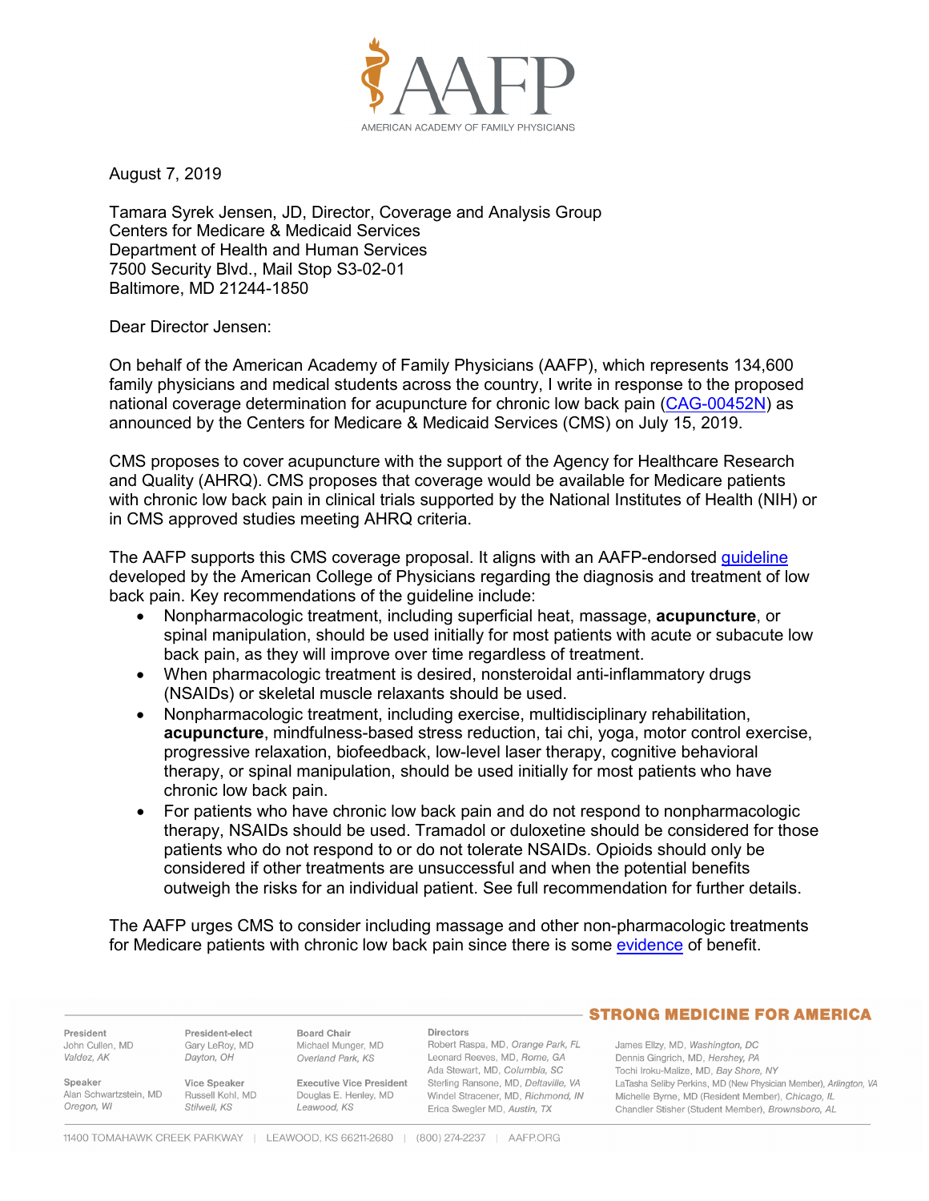

August 7, 2019

Tamara Syrek Jensen, JD, Director, Coverage and Analysis Group Centers for Medicare & Medicaid Services Department of Health and Human Services 7500 Security Blvd., Mail Stop S3-02-01 Baltimore, MD 21244-1850

## Dear Director Jensen:

On behalf of the American Academy of Family Physicians (AAFP), which represents 134,600 family physicians and medical students across the country, I write in response to the proposed national coverage determination for acupuncture for chronic low back pain [\(CAG-00452N\)](https://www.cms.gov/medicare-coverage-database/details/nca-proposed-decision-memo.aspx?NCAId=295) as announced by the Centers for Medicare & Medicaid Services (CMS) on July 15, 2019.

CMS proposes to cover acupuncture with the support of the Agency for Healthcare Research and Quality (AHRQ). CMS proposes that coverage would be available for Medicare patients with chronic low back pain in clinical trials supported by the National Institutes of Health (NIH) or in CMS approved studies meeting AHRQ criteria.

The AAFP supports this CMS coverage proposal. It aligns with an AAFP-endorsed *[guideline](https://www.aafp.org/patient-care/clinical-recommendations/all/back-pain.html)* developed by the American College of Physicians regarding the diagnosis and treatment of low back pain. Key recommendations of the guideline include:

- Nonpharmacologic treatment, including superficial heat, massage, **acupuncture**, or spinal manipulation, should be used initially for most patients with acute or subacute low back pain, as they will improve over time regardless of treatment.
- When pharmacologic treatment is desired, nonsteroidal anti-inflammatory drugs (NSAIDs) or skeletal muscle relaxants should be used.
- Nonpharmacologic treatment, including exercise, multidisciplinary rehabilitation, **acupuncture**, mindfulness-based stress reduction, tai chi, yoga, motor control exercise, progressive relaxation, biofeedback, low-level laser therapy, cognitive behavioral therapy, or spinal manipulation, should be used initially for most patients who have chronic low back pain.
- For patients who have chronic low back pain and do not respond to nonpharmacologic therapy, NSAIDs should be used. Tramadol or duloxetine should be considered for those patients who do not respond to or do not tolerate NSAIDs. Opioids should only be considered if other treatments are unsuccessful and when the potential benefits outweigh the risks for an individual patient. See full recommendation for further details.

The AAFP urges CMS to consider including massage and other non-pharmacologic treatments for Medicare patients with chronic low back pain since there is some [evidence](https://www.ncbi.nlm.nih.gov/pubmed/28192793) of benefit.

|                                                 |                                                  |                                                                         |                                                                                                                        | <b>STRONG MEDICINE FOR AMERICA</b>                                                                                                                                         |
|-------------------------------------------------|--------------------------------------------------|-------------------------------------------------------------------------|------------------------------------------------------------------------------------------------------------------------|----------------------------------------------------------------------------------------------------------------------------------------------------------------------------|
| President<br>John Cullen, MD<br>Valdez, AK      | President-elect<br>Gary LeRoy, MD<br>Davton, OH  | Board Chair<br>Michael Munger, MD<br>Overland Park, KS                  | <b>Directors</b><br>Robert Raspa, MD, Orange Park, FL<br>Leonard Reeves, MD, Rome, GA<br>Ada Stewart, MD, Columbia, SC | James Ellzy, MD, Washington, DC<br>Dennis Gingrich, MD, Hershey, PA<br>Tochi Iroku-Malize, MD, Bay Shore, NY                                                               |
| Speaker<br>Alan Schwartzstein, MD<br>Oregon, WI | Vice Speaker<br>Russell Kohl, MD<br>Stilwell, KS | <b>Executive Vice President</b><br>Douglas E. Henley, MD<br>Leawood, KS | Sterling Ransone, MD, Deltaville, VA<br>Windel Stracener, MD, Richmond, IN<br>Erica Swegler MD, Austin, TX             | LaTasha Seliby Perkins, MD (New Physician Member), Arlington, VA<br>Michelle Byrne, MD (Resident Member), Chicago, IL<br>Chandler Stisher (Student Member), Brownsboro, AL |